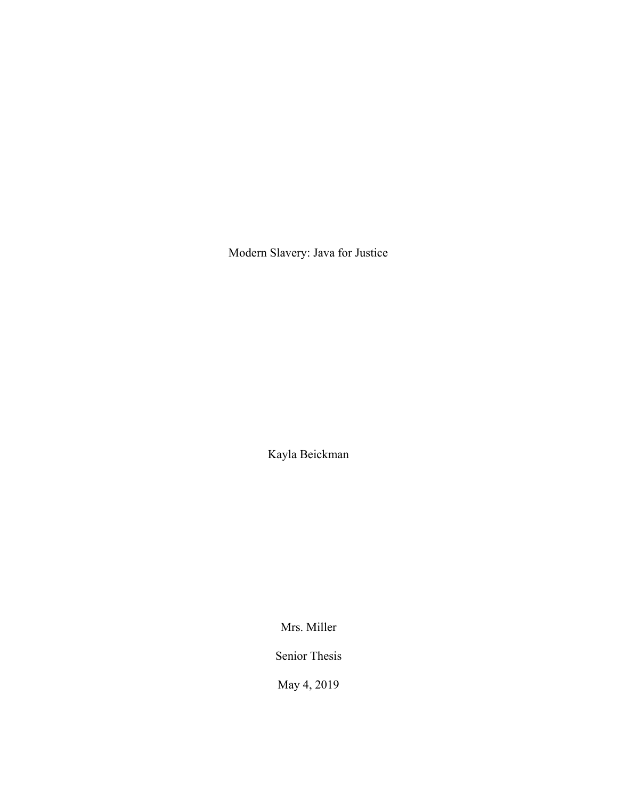Modern Slavery: Java for Justice

Kayla Beickman

Mrs. Miller

Senior Thesis

May 4, 2019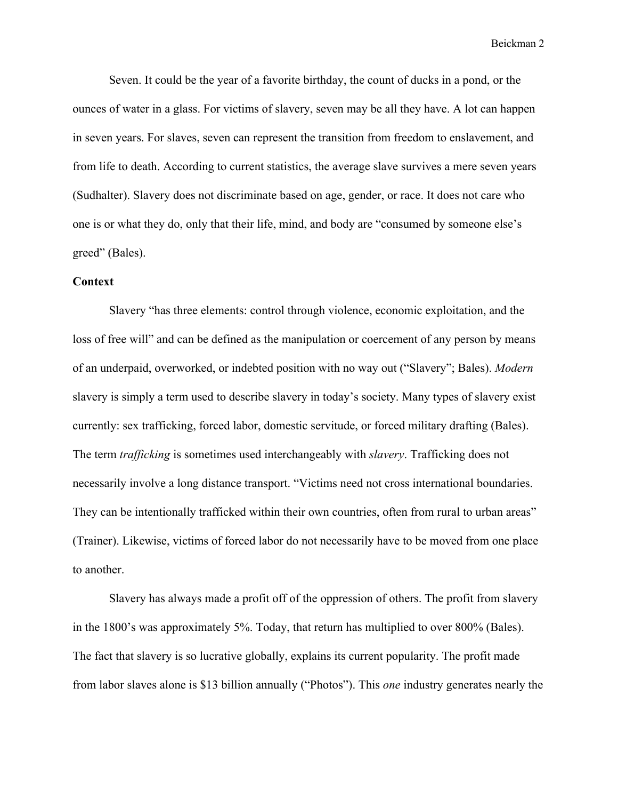Seven. It could be the year of a favorite birthday, the count of ducks in a pond, or the ounces of water in a glass. For victims of slavery, seven may be all they have. A lot can happen in seven years. For slaves, seven can represent the transition from freedom to enslavement, and from life to death. According to current statistics, the average slave survives a mere seven years (Sudhalter). Slavery does not discriminate based on age, gender, or race. It does not care who one is or what they do, only that their life, mind, and body are "consumed by someone else's greed" (Bales).

## **Context**

Slavery "has three elements: control through violence, economic exploitation, and the loss of free will" and can be defined as the manipulation or coercement of any person by means of an underpaid, overworked, or indebted position with no way out ("Slavery"; Bales). *Modern* slavery is simply a term used to describe slavery in today's society. Many types of slavery exist currently: sex trafficking, forced labor, domestic servitude, or forced military drafting (Bales). The term *trafficking* is sometimes used interchangeably with *slavery*. Trafficking does not necessarily involve a long distance transport. "Victims need not cross international boundaries. They can be intentionally trafficked within their own countries, often from rural to urban areas" (Trainer). Likewise, victims of forced labor do not necessarily have to be moved from one place to another.

Slavery has always made a profit off of the oppression of others. The profit from slavery in the 1800's was approximately 5%. Today, that return has multiplied to over 800% (Bales). The fact that slavery is so lucrative globally, explains its current popularity. The profit made from labor slaves alone is \$13 billion annually ("Photos"). This *one* industry generates nearly the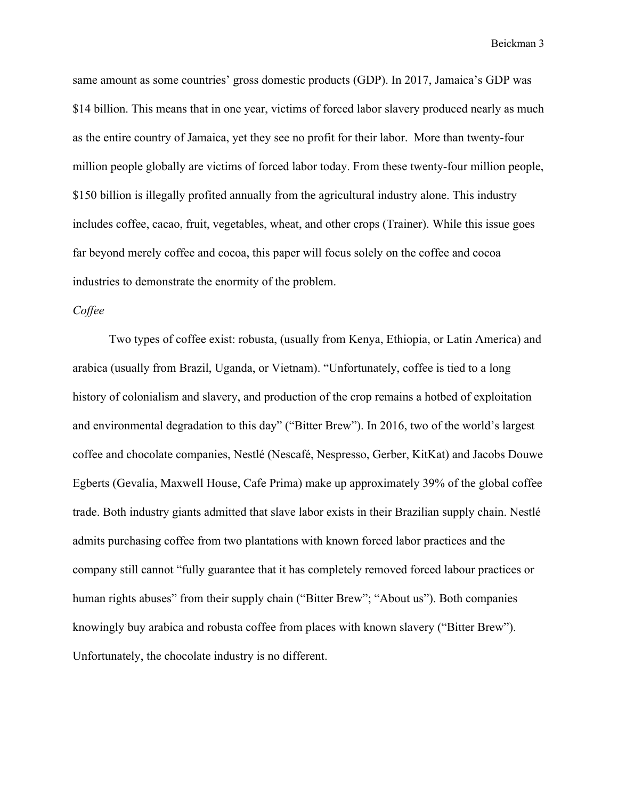same amount as some countries' gross domestic products (GDP). In 2017, Jamaica's GDP was \$14 billion. This means that in one year, victims of forced labor slavery produced nearly as much as the entire country of Jamaica, yet they see no profit for their labor. More than twenty-four million people globally are victims of forced labor today. From these twenty-four million people, \$150 billion is illegally profited annually from the agricultural industry alone. This industry includes coffee, cacao, fruit, vegetables, wheat, and other crops (Trainer). While this issue goes far beyond merely coffee and cocoa, this paper will focus solely on the coffee and cocoa industries to demonstrate the enormity of the problem.

## *Coffee*

Two types of coffee exist: robusta, (usually from Kenya, Ethiopia, or Latin America) and arabica (usually from Brazil, Uganda, or Vietnam). "Unfortunately, coffee is tied to a long history of colonialism and slavery, and production of the crop remains a hotbed of exploitation and environmental degradation to this day" ("Bitter Brew"). In 2016, two of the world's largest coffee and chocolate companies, Nestlé (Nescafé, Nespresso, Gerber, KitKat) and Jacobs Douwe Egberts (Gevalia, Maxwell House, Cafe Prima) make up approximately 39% of the global coffee trade. Both industry giants admitted that slave labor exists in their Brazilian supply chain. Nestlé admits purchasing coffee from two plantations with known forced labor practices and the company still cannot "fully guarantee that it has completely removed forced labour practices or human rights abuses" from their supply chain ("Bitter Brew"; "About us"). Both companies knowingly buy arabica and robusta coffee from places with known slavery ("Bitter Brew"). Unfortunately, the chocolate industry is no different.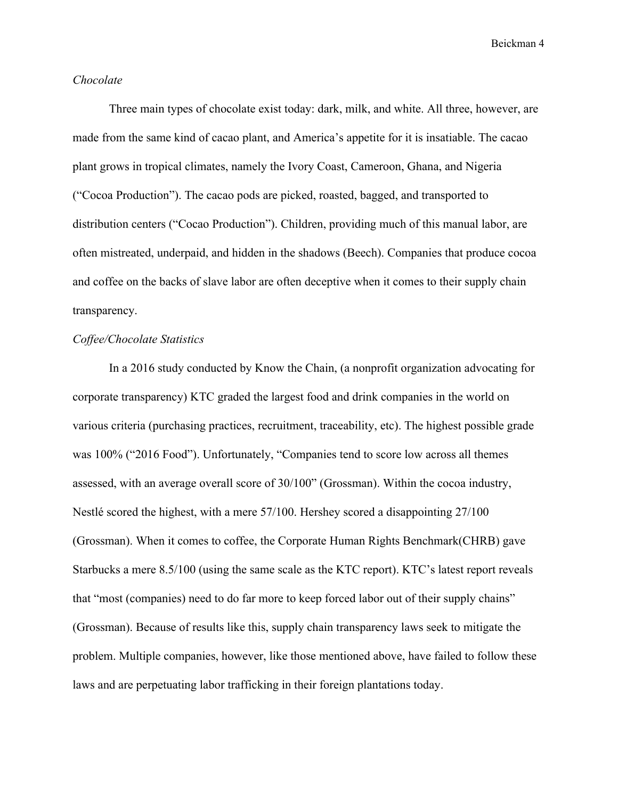### *Chocolate*

Three main types of chocolate exist today: dark, milk, and white. All three, however, are made from the same kind of cacao plant, and America's appetite for it is insatiable. The cacao plant grows in tropical climates, namely the Ivory Coast, Cameroon, Ghana, and Nigeria ("Cocoa Production"). The cacao pods are picked, roasted, bagged, and transported to distribution centers ("Cocao Production"). Children, providing much of this manual labor, are often mistreated, underpaid, and hidden in the shadows (Beech). Companies that produce cocoa and coffee on the backs of slave labor are often deceptive when it comes to their supply chain transparency.

### *Coffee/Chocolate Statistics*

In a 2016 study conducted by Know the Chain, (a nonprofit organization advocating for corporate transparency) KTC graded the largest food and drink companies in the world on various criteria (purchasing practices, recruitment, traceability, etc). The highest possible grade was 100% ("2016 Food"). Unfortunately, "Companies tend to score low across all themes assessed, with an average overall score of 30/100" (Grossman). Within the cocoa industry, Nestlé scored the highest, with a mere 57/100. Hershey scored a disappointing 27/100 (Grossman). When it comes to coffee, the Corporate Human Rights Benchmark(CHRB) gave Starbucks a mere 8.5/100 (using the same scale as the KTC report). KTC's latest report reveals that "most (companies) need to do far more to keep forced labor out of their supply chains" (Grossman). Because of results like this, supply chain transparency laws seek to mitigate the problem. Multiple companies, however, like those mentioned above, have failed to follow these laws and are perpetuating labor trafficking in their foreign plantations today.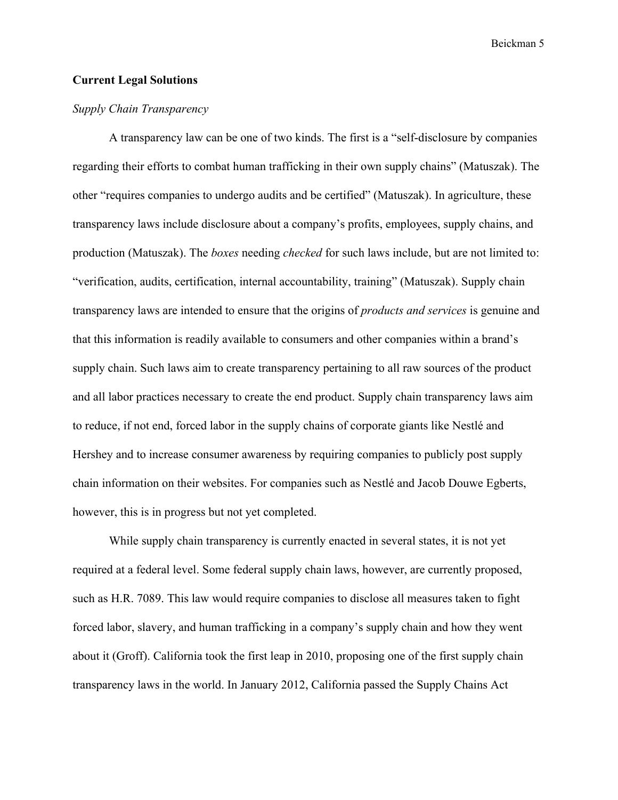## **Current Legal Solutions**

## *Supply Chain Transparency*

A transparency law can be one of two kinds. The first is a "self-disclosure by companies regarding their efforts to combat human trafficking in their own supply chains" (Matuszak). The other "requires companies to undergo audits and be certified" (Matuszak). In agriculture, these transparency laws include disclosure about a company's profits, employees, supply chains, and production (Matuszak). The *boxes* needing *checked* for such laws include, but are not limited to: "verification, audits, certification, internal accountability, training" (Matuszak). Supply chain transparency laws are intended to ensure that the origins of *products and services* is genuine and that this information is readily available to consumers and other companies within a brand's supply chain. Such laws aim to create transparency pertaining to all raw sources of the product and all labor practices necessary to create the end product. Supply chain transparency laws aim to reduce, if not end, forced labor in the supply chains of corporate giants like Nestlé and Hershey and to increase consumer awareness by requiring companies to publicly post supply chain information on their websites. For companies such as Nestlé and Jacob Douwe Egberts, however, this is in progress but not yet completed.

While supply chain transparency is currently enacted in several states, it is not yet required at a federal level. Some federal supply chain laws, however, are currently proposed, such as H.R. 7089. This law would require companies to disclose all measures taken to fight forced labor, slavery, and human trafficking in a company's supply chain and how they went about it (Groff). California took the first leap in 2010, proposing one of the first supply chain transparency laws in the world. In January 2012, California passed the Supply Chains Act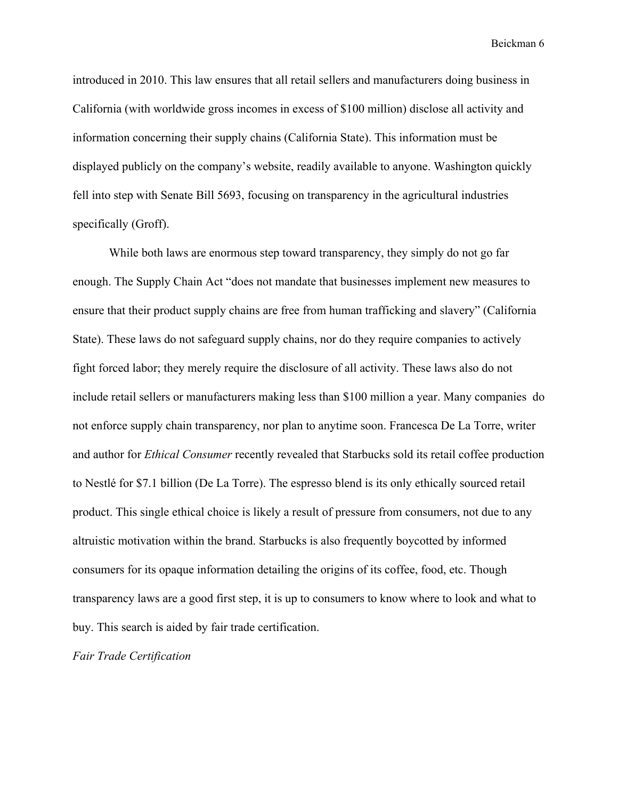introduced in 2010. This law ensures that all retail sellers and manufacturers doing business in California (with worldwide gross incomes in excess of \$100 million) disclose all activity and information concerning their supply chains (California State). This information must be displayed publicly on the company's website, readily available to anyone. Washington quickly fell into step with Senate Bill 5693, focusing on transparency in the agricultural industries specifically (Groff).

While both laws are enormous step toward transparency, they simply do not go far enough. The Supply Chain Act "does not mandate that businesses implement new measures to ensure that their product supply chains are free from human trafficking and slavery" (California State). These laws do not safeguard supply chains, nor do they require companies to actively fight forced labor; they merely require the disclosure of all activity. These laws also do not include retail sellers or manufacturers making less than \$100 million a year. Many companies do not enforce supply chain transparency, nor plan to anytime soon. Francesca De La Torre, writer and author for *Ethical Consumer* recently revealed that Starbucks sold its retail coffee production to Nestlé for \$7.1 billion (De La Torre). The espresso blend is its only ethically sourced retail product. This single ethical choice is likely a result of pressure from consumers, not due to any altruistic motivation within the brand. Starbucks is also frequently boycotted by informed consumers for its opaque information detailing the origins of its coffee, food, etc. Though transparency laws are a good first step, it is up to consumers to know where to look and what to buy. This search is aided by fair trade certification.

*Fair Trade Certification*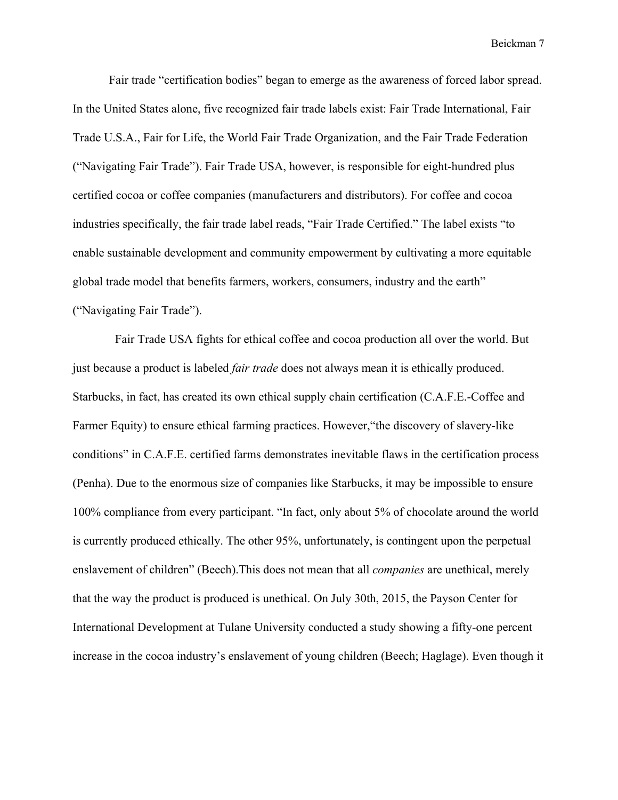Fair trade "certification bodies" began to emerge as the awareness of forced labor spread. In the United States alone, five recognized fair trade labels exist: Fair Trade International, Fair Trade U.S.A., Fair for Life, the World Fair Trade Organization, and the Fair Trade Federation ("Navigating Fair Trade"). Fair Trade USA, however, is responsible for eight-hundred plus certified cocoa or coffee companies (manufacturers and distributors). For coffee and cocoa industries specifically, the fair trade label reads, "Fair Trade Certified." The label exists "to enable sustainable development and community empowerment by cultivating a more equitable global trade model that benefits farmers, workers, consumers, industry and the earth" ("Navigating Fair Trade").

 Fair Trade USA fights for ethical coffee and cocoa production all over the world. But just because a product is labeled *fair trade* does not always mean it is ethically produced. Starbucks, in fact, has created its own ethical supply chain certification (C.A.F.E.-Coffee and Farmer Equity) to ensure ethical farming practices. However,"the discovery of slavery-like conditions" in C.A.F.E. certified farms demonstrates inevitable flaws in the certification process (Penha). Due to the enormous size of companies like Starbucks, it may be impossible to ensure 100% compliance from every participant. "In fact, only about 5% of chocolate around the world is currently produced ethically. The other 95%, unfortunately, is contingent upon the perpetual enslavement of children" (Beech).This does not mean that all *companies* are unethical, merely that the way the product is produced is unethical. On July 30th, 2015, the Payson Center for International Development at Tulane University conducted a study showing a fifty-one percent increase in the cocoa industry's enslavement of young children (Beech; Haglage). Even though it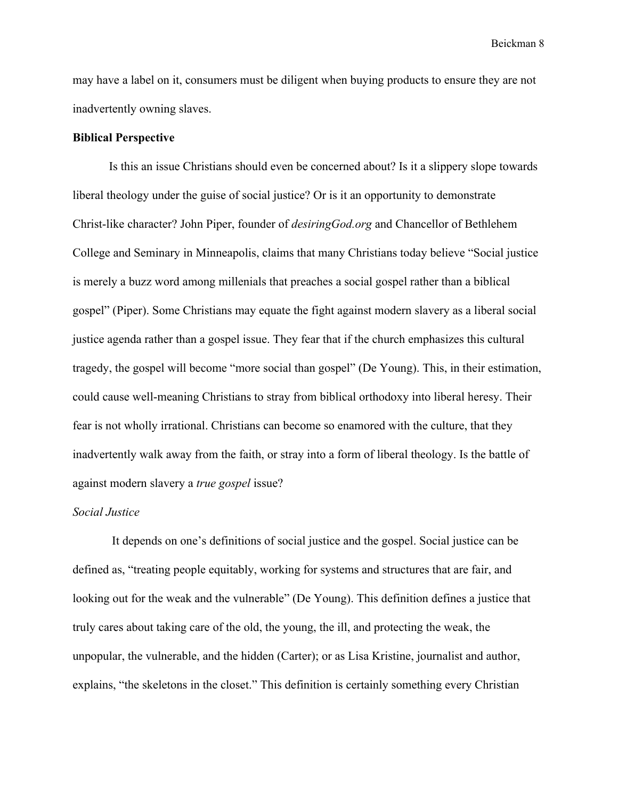may have a label on it, consumers must be diligent when buying products to ensure they are not inadvertently owning slaves.

### **Biblical Perspective**

Is this an issue Christians should even be concerned about? Is it a slippery slope towards liberal theology under the guise of social justice? Or is it an opportunity to demonstrate Christ-like character? John Piper, founder of *desiringGod.org* and Chancellor of Bethlehem College and Seminary in Minneapolis, claims that many Christians today believe "Social justice is merely a buzz word among millenials that preaches a social gospel rather than a biblical gospel" (Piper). Some Christians may equate the fight against modern slavery as a liberal social justice agenda rather than a gospel issue. They fear that if the church emphasizes this cultural tragedy, the gospel will become "more social than gospel" (De Young). This, in their estimation, could cause well-meaning Christians to stray from biblical orthodoxy into liberal heresy. Their fear is not wholly irrational. Christians can become so enamored with the culture, that they inadvertently walk away from the faith, or stray into a form of liberal theology. Is the battle of against modern slavery a *true gospel* issue?

## *Social Justice*

 It depends on one's definitions of social justice and the gospel. Social justice can be defined as, "treating people equitably, working for systems and structures that are fair, and looking out for the weak and the vulnerable" (De Young). This definition defines a justice that truly cares about taking care of the old, the young, the ill, and protecting the weak, the unpopular, the vulnerable, and the hidden (Carter); or as Lisa Kristine, journalist and author, explains, "the skeletons in the closet." This definition is certainly something every Christian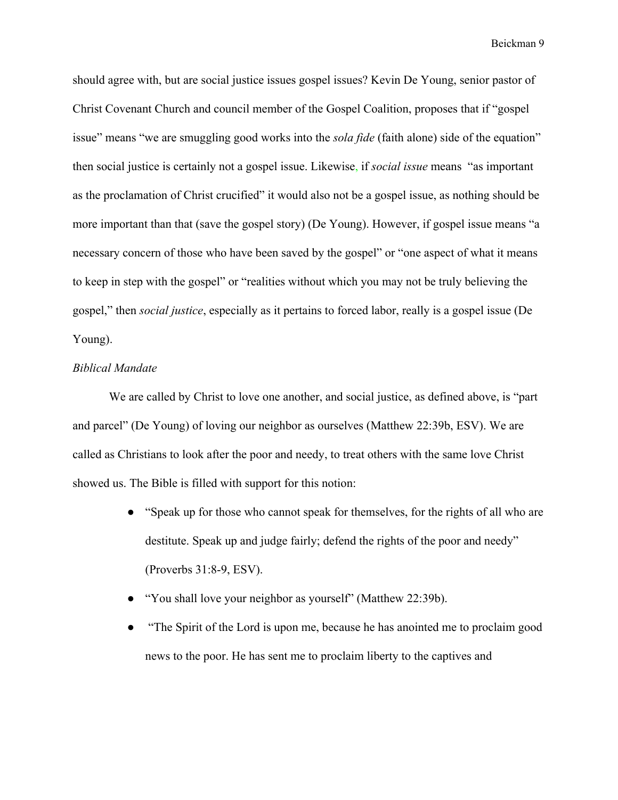should agree with, but are social justice issues gospel issues? Kevin De Young, senior pastor of Christ Covenant Church and council member of the Gospel Coalition, proposes that if "gospel issue" means "we are smuggling good works into the *sola fide* (faith alone) side of the equation" then social justice is certainly not a gospel issue. Likewise, if *social issue* means "as important as the proclamation of Christ crucified" it would also not be a gospel issue, as nothing should be more important than that (save the gospel story) (De Young). However, if gospel issue means "a necessary concern of those who have been saved by the gospel" or "one aspect of what it means to keep in step with the gospel" or "realities without which you may not be truly believing the gospel," then *social justice*, especially as it pertains to forced labor, really is a gospel issue (De Young).

## *Biblical Mandate*

We are called by Christ to love one another, and social justice, as defined above, is "part and parcel" (De Young) of loving our neighbor as ourselves (Matthew 22:39b, ESV). We are called as Christians to look after the poor and needy, to treat others with the same love Christ showed us. The Bible is filled with support for this notion:

- "Speak up for those who cannot speak for themselves, for the rights of all who are destitute. Speak up and judge fairly; defend the rights of the poor and needy" (Proverbs 31:8-9, ESV).
- "You shall love your neighbor as yourself" (Matthew 22:39b).
- "The Spirit of the Lord is upon me, because he has anointed me to proclaim good news to the poor. He has sent me to proclaim liberty to the captives and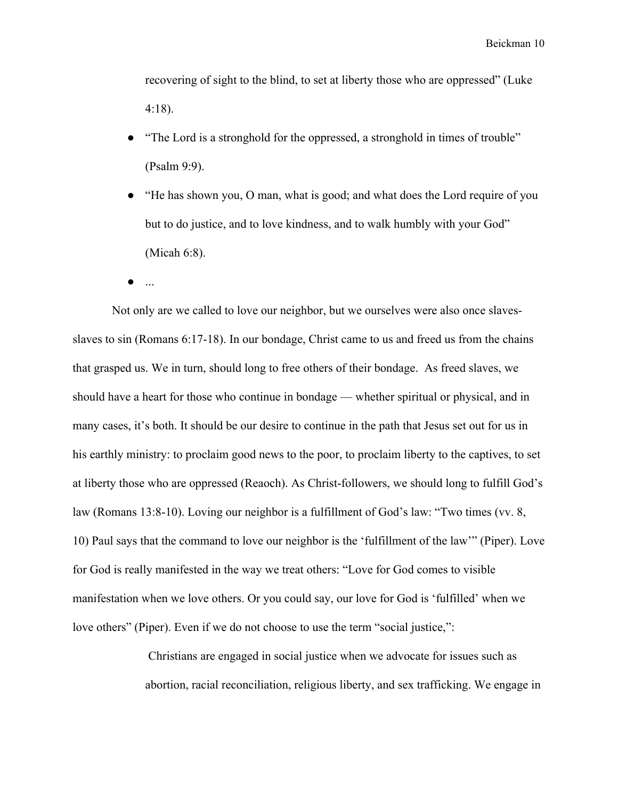recovering of sight to the blind, to set at liberty those who are oppressed" (Luke 4:18).

- "The Lord is a stronghold for the oppressed, a stronghold in times of trouble" (Psalm 9:9).
- "He has shown you, O man, what is good; and what does the Lord require of you but to do justice, and to love kindness, and to walk humbly with your God" (Micah 6:8).
- ...

 Not only are we called to love our neighbor, but we ourselves were also once slavesslaves to sin (Romans 6:17-18). In our bondage, Christ came to us and freed us from the chains that grasped us. We in turn, should long to free others of their bondage. As freed slaves, we should have a heart for those who continue in bondage — whether spiritual or physical, and in many cases, it's both. It should be our desire to continue in the path that Jesus set out for us in his earthly ministry: to proclaim good news to the poor, to proclaim liberty to the captives, to set at liberty those who are oppressed (Reaoch). As Christ-followers, we should long to fulfill God's law (Romans 13:8-10). Loving our neighbor is a fulfillment of God's law: "Two times (vv. 8, 10) Paul says that the command to love our neighbor is the 'fulfillment of the law'" (Piper). Love for God is really manifested in the way we treat others: "Love for God comes to visible manifestation when we love others. Or you could say, our love for God is 'fulfilled' when we love others" (Piper). Even if we do not choose to use the term "social justice,":

> Christians are engaged in social justice when we advocate for issues such as abortion, racial reconciliation, religious liberty, and sex trafficking. We engage in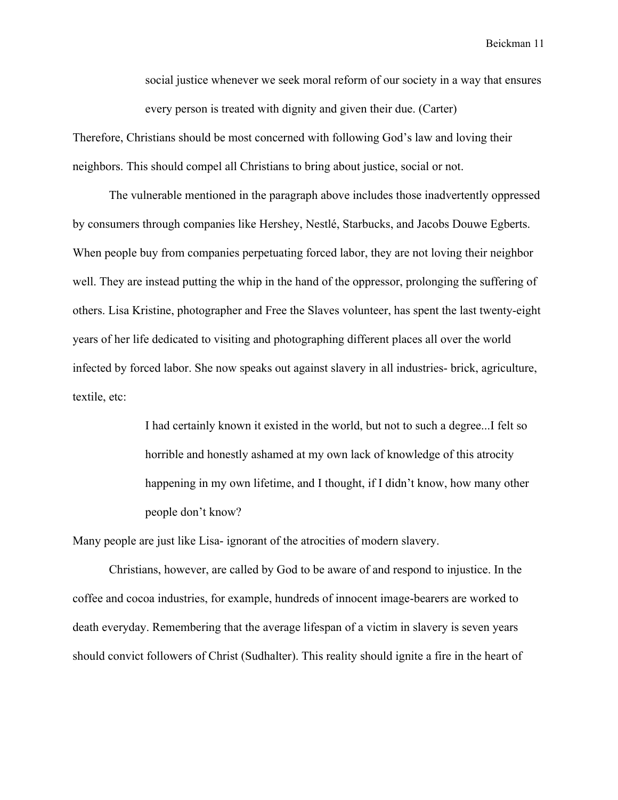social justice whenever we seek moral reform of our society in a way that ensures every person is treated with dignity and given their due. (Carter)

Therefore, Christians should be most concerned with following God's law and loving their neighbors. This should compel all Christians to bring about justice, social or not.

The vulnerable mentioned in the paragraph above includes those inadvertently oppressed by consumers through companies like Hershey, Nestlé, Starbucks, and Jacobs Douwe Egberts. When people buy from companies perpetuating forced labor, they are not loving their neighbor well. They are instead putting the whip in the hand of the oppressor, prolonging the suffering of others. Lisa Kristine, photographer and Free the Slaves volunteer, has spent the last twenty-eight years of her life dedicated to visiting and photographing different places all over the world infected by forced labor. She now speaks out against slavery in all industries- brick, agriculture, textile, etc:

> I had certainly known it existed in the world, but not to such a degree...I felt so horrible and honestly ashamed at my own lack of knowledge of this atrocity happening in my own lifetime, and I thought, if I didn't know, how many other people don't know?

Many people are just like Lisa- ignorant of the atrocities of modern slavery.

Christians, however, are called by God to be aware of and respond to injustice. In the coffee and cocoa industries, for example, hundreds of innocent image-bearers are worked to death everyday. Remembering that the average lifespan of a victim in slavery is seven years should convict followers of Christ (Sudhalter). This reality should ignite a fire in the heart of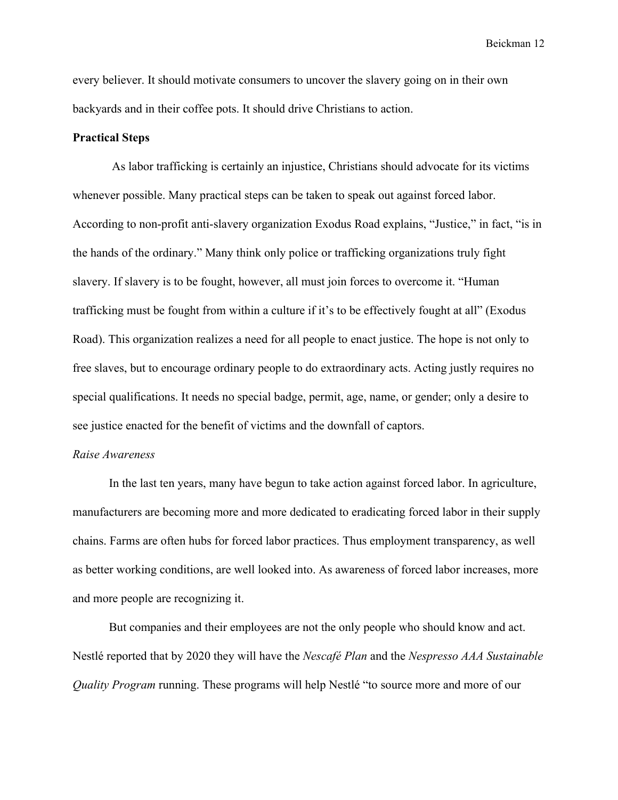every believer. It should motivate consumers to uncover the slavery going on in their own backyards and in their coffee pots. It should drive Christians to action.

## **Practical Steps**

 As labor trafficking is certainly an injustice, Christians should advocate for its victims whenever possible. Many practical steps can be taken to speak out against forced labor. According to non-profit anti-slavery organization Exodus Road explains, "Justice," in fact, "is in the hands of the ordinary." Many think only police or trafficking organizations truly fight slavery. If slavery is to be fought, however, all must join forces to overcome it. "Human trafficking must be fought from within a culture if it's to be effectively fought at all" (Exodus Road). This organization realizes a need for all people to enact justice. The hope is not only to free slaves, but to encourage ordinary people to do extraordinary acts. Acting justly requires no special qualifications. It needs no special badge, permit, age, name, or gender; only a desire to see justice enacted for the benefit of victims and the downfall of captors.

#### *Raise Awareness*

In the last ten years, many have begun to take action against forced labor. In agriculture, manufacturers are becoming more and more dedicated to eradicating forced labor in their supply chains. Farms are often hubs for forced labor practices. Thus employment transparency, as well as better working conditions, are well looked into. As awareness of forced labor increases, more and more people are recognizing it.

But companies and their employees are not the only people who should know and act. Nestlé reported that by 2020 they will have the *Nescafé Plan* and the *Nespresso AAA Sustainable Quality Program* running. These programs will help Nestlé "to source more and more of our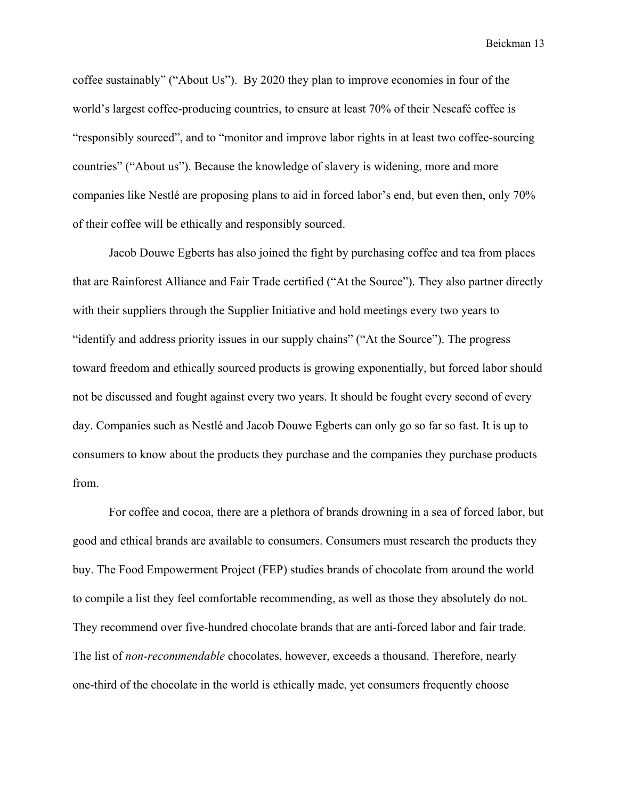coffee sustainably" ("About Us"). By 2020 they plan to improve economies in four of the world's largest coffee-producing countries, to ensure at least 70% of their Nescafé coffee is "responsibly sourced", and to "monitor and improve labor rights in at least two coffee-sourcing countries" ("About us"). Because the knowledge of slavery is widening, more and more companies like Nestlé are proposing plans to aid in forced labor's end, but even then, only 70% of their coffee will be ethically and responsibly sourced.

Jacob Douwe Egberts has also joined the fight by purchasing coffee and tea from places that are Rainforest Alliance and Fair Trade certified ("At the Source"). They also partner directly with their suppliers through the Supplier Initiative and hold meetings every two years to "identify and address priority issues in our supply chains" ("At the Source"). The progress toward freedom and ethically sourced products is growing exponentially, but forced labor should not be discussed and fought against every two years. It should be fought every second of every day. Companies such as Nestlé and Jacob Douwe Egberts can only go so far so fast. It is up to consumers to know about the products they purchase and the companies they purchase products from.

For coffee and cocoa, there are a plethora of brands drowning in a sea of forced labor, but good and ethical brands are available to consumers. Consumers must research the products they buy. The Food Empowerment Project (FEP) studies brands of chocolate from around the world to compile a list they feel comfortable recommending, as well as those they absolutely do not. They recommend over five-hundred chocolate brands that are anti-forced labor and fair trade. The list of *non-recommendable* chocolates, however, exceeds a thousand. Therefore, nearly one-third of the chocolate in the world is ethically made, yet consumers frequently choose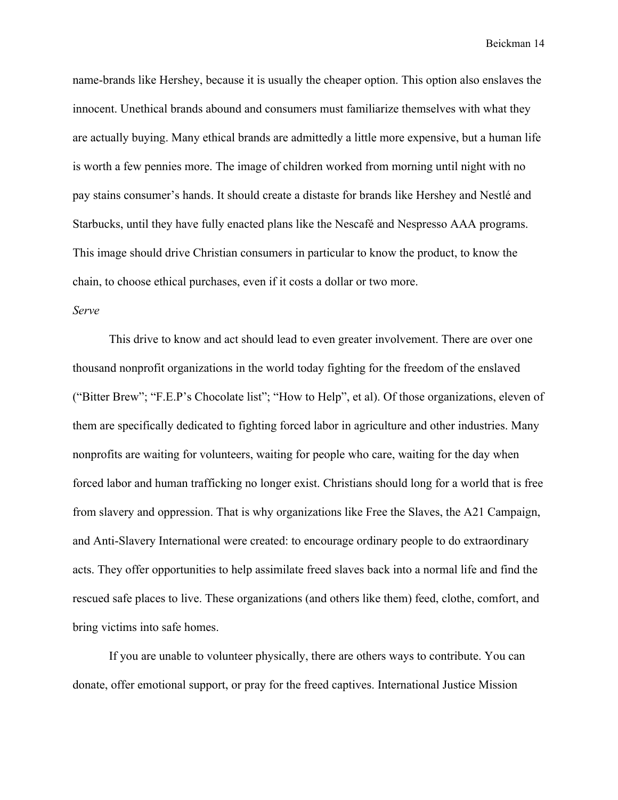name-brands like Hershey, because it is usually the cheaper option. This option also enslaves the innocent. Unethical brands abound and consumers must familiarize themselves with what they are actually buying. Many ethical brands are admittedly a little more expensive, but a human life is worth a few pennies more. The image of children worked from morning until night with no pay stains consumer's hands. It should create a distaste for brands like Hershey and Nestlé and Starbucks, until they have fully enacted plans like the Nescafé and Nespresso AAA programs. This image should drive Christian consumers in particular to know the product, to know the chain, to choose ethical purchases, even if it costs a dollar or two more.

## *Serve*

This drive to know and act should lead to even greater involvement. There are over one thousand nonprofit organizations in the world today fighting for the freedom of the enslaved ("Bitter Brew"; "F.E.P's Chocolate list"; "How to Help", et al). Of those organizations, eleven of them are specifically dedicated to fighting forced labor in agriculture and other industries. Many nonprofits are waiting for volunteers, waiting for people who care, waiting for the day when forced labor and human trafficking no longer exist. Christians should long for a world that is free from slavery and oppression. That is why organizations like Free the Slaves, the A21 Campaign, and Anti-Slavery International were created: to encourage ordinary people to do extraordinary acts. They offer opportunities to help assimilate freed slaves back into a normal life and find the rescued safe places to live. These organizations (and others like them) feed, clothe, comfort, and bring victims into safe homes.

If you are unable to volunteer physically, there are others ways to contribute. You can donate, offer emotional support, or pray for the freed captives. International Justice Mission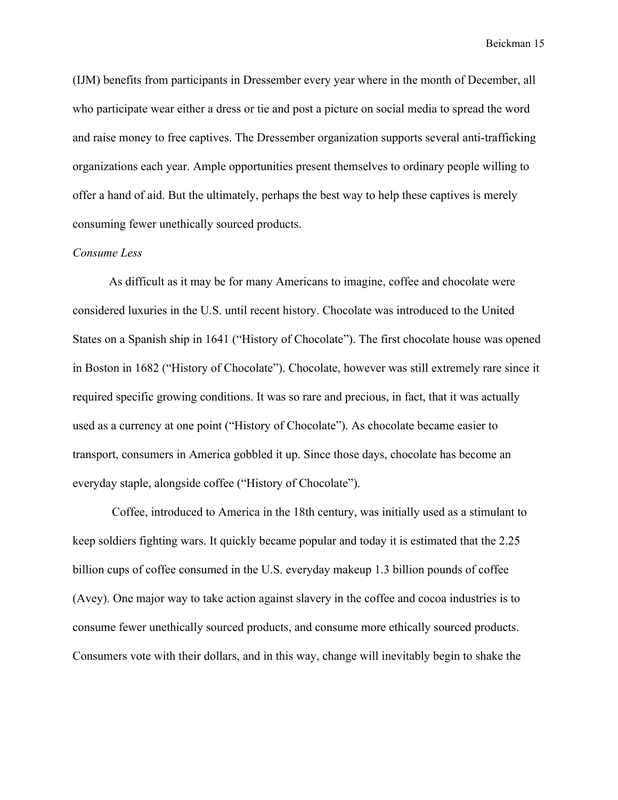(IJM) benefits from participants in Dressember every year where in the month of December, all who participate wear either a dress or tie and post a picture on social media to spread the word and raise money to free captives. The Dressember organization supports several anti-trafficking organizations each year. Ample opportunities present themselves to ordinary people willing to offer a hand of aid. But the ultimately, perhaps the best way to help these captives is merely consuming fewer unethically sourced products.

#### *Consume Less*

As difficult as it may be for many Americans to imagine, coffee and chocolate were considered luxuries in the U.S. until recent history. Chocolate was introduced to the United States on a Spanish ship in 1641 ("History of Chocolate"). The first chocolate house was opened in Boston in 1682 ("History of Chocolate"). Chocolate, however was still extremely rare since it required specific growing conditions. It was so rare and precious, in fact, that it was actually used as a currency at one point ("History of Chocolate"). As chocolate became easier to transport, consumers in America gobbled it up. Since those days, chocolate has become an everyday staple, alongside coffee ("History of Chocolate").

 Coffee, introduced to America in the 18th century, was initially used as a stimulant to keep soldiers fighting wars. It quickly became popular and today it is estimated that the 2.25 billion cups of coffee consumed in the U.S. everyday makeup 1.3 billion pounds of coffee (Avey). One major way to take action against slavery in the coffee and cocoa industries is to consume fewer unethically sourced products, and consume more ethically sourced products. Consumers vote with their dollars, and in this way, change will inevitably begin to shake the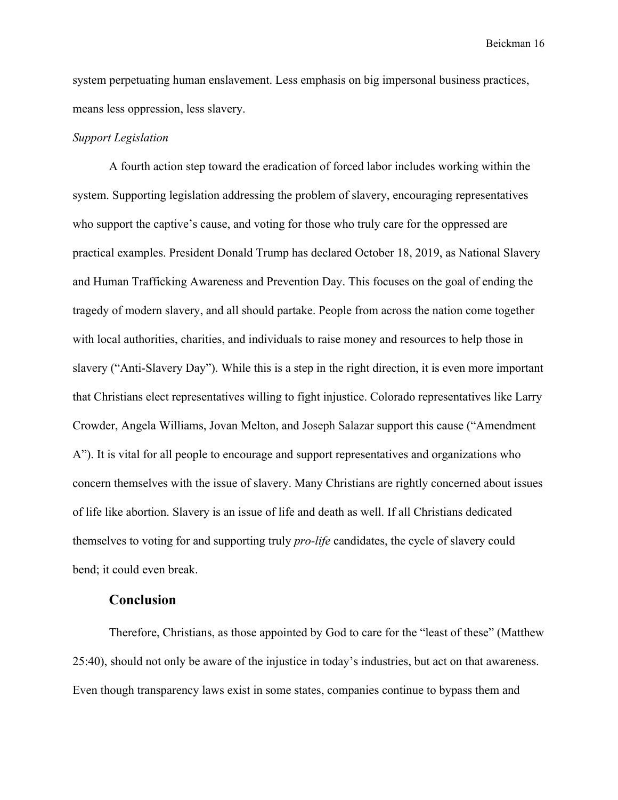system perpetuating human enslavement. Less emphasis on big impersonal business practices, means less oppression, less slavery.

## *Support Legislation*

A fourth action step toward the eradication of forced labor includes working within the system. Supporting legislation addressing the problem of slavery, encouraging representatives who support the captive's cause, and voting for those who truly care for the oppressed are practical examples. President Donald Trump has declared October 18, 2019, as National Slavery and Human Trafficking Awareness and Prevention Day. This focuses on the goal of ending the tragedy of modern slavery, and all should partake. People from across the nation come together with local authorities, charities, and individuals to raise money and resources to help those in slavery ("Anti-Slavery Day"). While this is a step in the right direction, it is even more important that Christians elect representatives willing to fight injustice. Colorado representatives like Larry Crowder, Angela Williams, Jovan Melton, and Joseph Salazar support this cause ("Amendment A"). It is vital for all people to encourage and support representatives and organizations who concern themselves with the issue of slavery. Many Christians are rightly concerned about issues of life like abortion. Slavery is an issue of life and death as well. If all Christians dedicated themselves to voting for and supporting truly *pro-life* candidates, the cycle of slavery could bend; it could even break.

# **Conclusion**

Therefore, Christians, as those appointed by God to care for the "least of these" (Matthew 25:40), should not only be aware of the injustice in today's industries, but act on that awareness. Even though transparency laws exist in some states, companies continue to bypass them and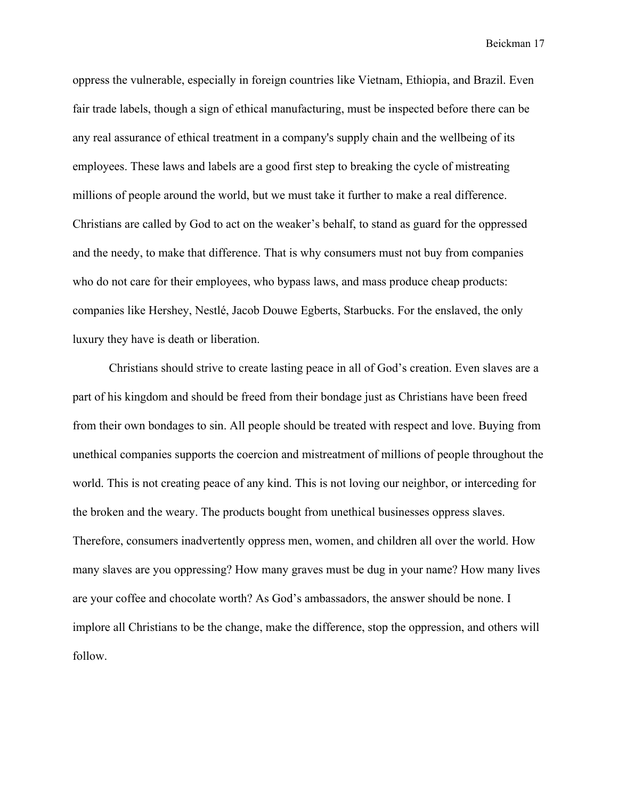oppress the vulnerable, especially in foreign countries like Vietnam, Ethiopia, and Brazil. Even fair trade labels, though a sign of ethical manufacturing, must be inspected before there can be any real assurance of ethical treatment in a company's supply chain and the wellbeing of its employees. These laws and labels are a good first step to breaking the cycle of mistreating millions of people around the world, but we must take it further to make a real difference. Christians are called by God to act on the weaker's behalf, to stand as guard for the oppressed and the needy, to make that difference. That is why consumers must not buy from companies who do not care for their employees, who bypass laws, and mass produce cheap products: companies like Hershey, Nestlé, Jacob Douwe Egberts, Starbucks. For the enslaved, the only luxury they have is death or liberation.

Christians should strive to create lasting peace in all of God's creation. Even slaves are a part of his kingdom and should be freed from their bondage just as Christians have been freed from their own bondages to sin. All people should be treated with respect and love. Buying from unethical companies supports the coercion and mistreatment of millions of people throughout the world. This is not creating peace of any kind. This is not loving our neighbor, or interceding for the broken and the weary. The products bought from unethical businesses oppress slaves. Therefore, consumers inadvertently oppress men, women, and children all over the world. How many slaves are you oppressing? How many graves must be dug in your name? How many lives are your coffee and chocolate worth? As God's ambassadors, the answer should be none. I implore all Christians to be the change, make the difference, stop the oppression, and others will follow.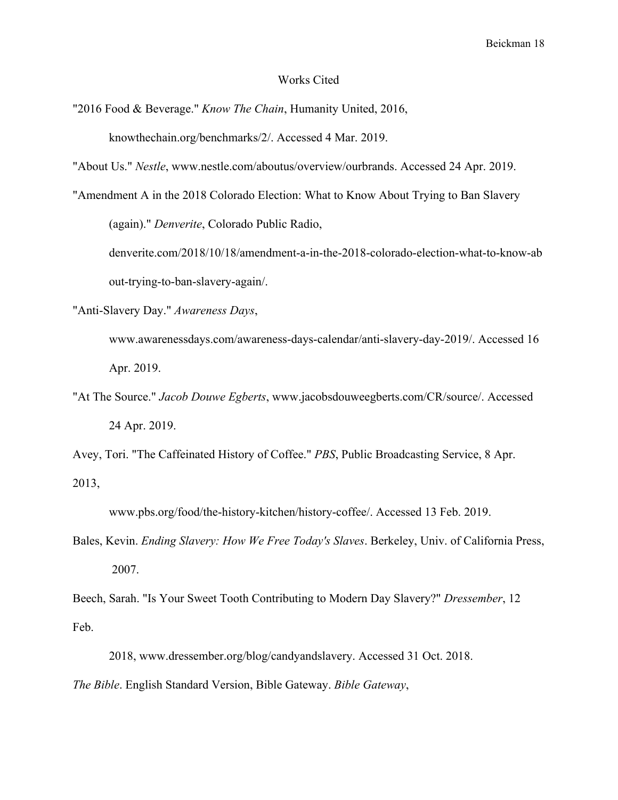#### Works Cited

"2016 Food & Beverage." *Know The Chain*, Humanity United, 2016, knowthechain.org/benchmarks/2/. Accessed 4 Mar. 2019.

"About Us." *Nestle*, www.nestle.com/aboutus/overview/ourbrands. Accessed 24 Apr. 2019.

"Amendment A in the 2018 Colorado Election: What to Know About Trying to Ban Slavery

(again)." *Denverite*, Colorado Public Radio,

denverite.com/2018/10/18/amendment-a-in-the-2018-colorado-election-what-to-know-ab out-trying-to-ban-slavery-again/.

"Anti-Slavery Day." *Awareness Days*,

www.awarenessdays.com/awareness-days-calendar/anti-slavery-day-2019/. Accessed 16 Apr. 2019.

"At The Source." *Jacob Douwe Egberts*, www.jacobsdouweegberts.com/CR/source/. Accessed 24 Apr. 2019.

Avey, Tori. "The Caffeinated History of Coffee." *PBS*, Public Broadcasting Service, 8 Apr. 2013,

www.pbs.org/food/the-history-kitchen/history-coffee/. Accessed 13 Feb. 2019.

Bales, Kevin. *Ending Slavery: How We Free Today's Slaves*. Berkeley, Univ. of California Press, 2007.

Beech, Sarah. "Is Your Sweet Tooth Contributing to Modern Day Slavery?" *Dressember*, 12 Feb.

2018, www.dressember.org/blog/candyandslavery. Accessed 31 Oct. 2018.

*The Bible*. English Standard Version, Bible Gateway. *Bible Gateway*,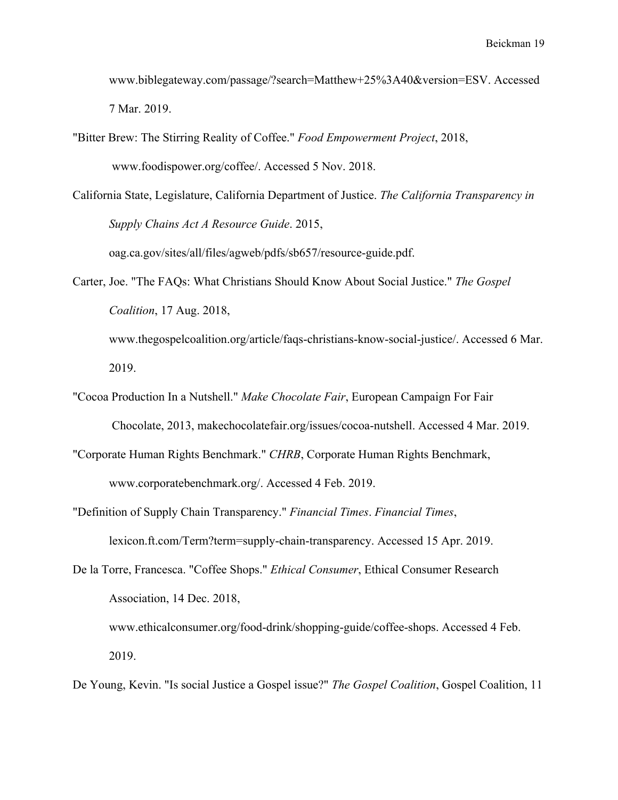www.biblegateway.com/passage/?search=Matthew+25%3A40&version=ESV. Accessed 7 Mar. 2019.

"Bitter Brew: The Stirring Reality of Coffee." *Food Empowerment Project*, 2018, www.foodispower.org/coffee/. Accessed 5 Nov. 2018.

California State, Legislature, California Department of Justice. *The California Transparency in Supply Chains Act A Resource Guide*. 2015,

oag.ca.gov/sites/all/files/agweb/pdfs/sb657/resource-guide.pdf.

Carter, Joe. "The FAQs: What Christians Should Know About Social Justice." *The Gospel Coalition*, 17 Aug. 2018, www.thegospelcoalition.org/article/faqs-christians-know-social-justice/. Accessed 6 Mar.

2019.

- "Cocoa Production In a Nutshell." *Make Chocolate Fair*, European Campaign For Fair Chocolate, 2013, makechocolatefair.org/issues/cocoa-nutshell. Accessed 4 Mar. 2019.
- "Corporate Human Rights Benchmark." *CHRB*, Corporate Human Rights Benchmark, www.corporatebenchmark.org/. Accessed 4 Feb. 2019.
- "Definition of Supply Chain Transparency." *Financial Times*. *Financial Times*, lexicon.ft.com/Term?term=supply-chain-transparency. Accessed 15 Apr. 2019.
- De la Torre, Francesca. "Coffee Shops." *Ethical Consumer*, Ethical Consumer Research Association, 14 Dec. 2018, www.ethicalconsumer.org/food-drink/shopping-guide/coffee-shops. Accessed 4 Feb. 2019.
- De Young, Kevin. "Is social Justice a Gospel issue?" *The Gospel Coalition*, Gospel Coalition, 11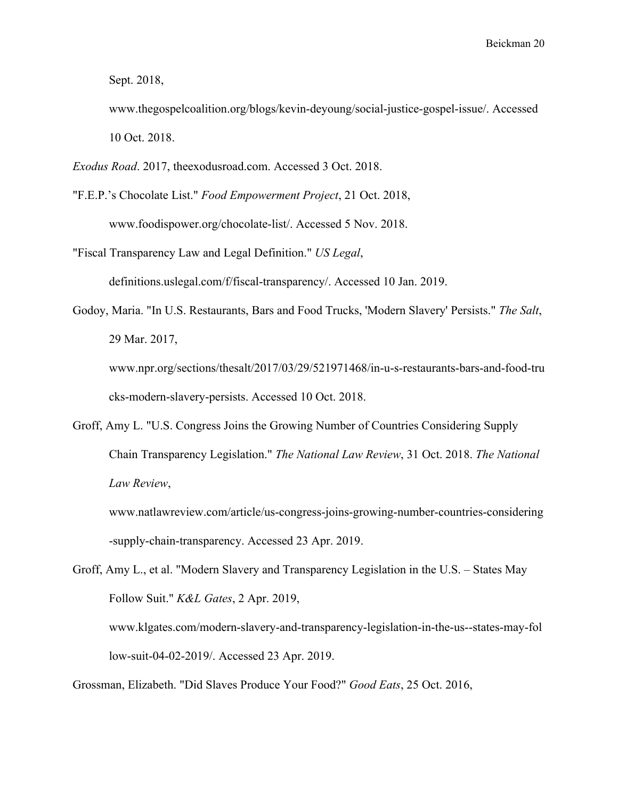Sept. 2018,

- www.thegospelcoalition.org/blogs/kevin-deyoung/social-justice-gospel-issue/. Accessed 10 Oct. 2018.
- *Exodus Road*. 2017, theexodusroad.com. Accessed 3 Oct. 2018.
- "F.E.P.'s Chocolate List." *Food Empowerment Project*, 21 Oct. 2018, www.foodispower.org/chocolate-list/. Accessed 5 Nov. 2018.
- "Fiscal Transparency Law and Legal Definition." *US Legal*,

definitions.uslegal.com/f/fiscal-transparency/. Accessed 10 Jan. 2019.

Godoy, Maria. "In U.S. Restaurants, Bars and Food Trucks, 'Modern Slavery' Persists." *The Salt*, 29 Mar. 2017,

www.npr.org/sections/thesalt/2017/03/29/521971468/in-u-s-restaurants-bars-and-food-tru cks-modern-slavery-persists. Accessed 10 Oct. 2018.

Groff, Amy L. "U.S. Congress Joins the Growing Number of Countries Considering Supply Chain Transparency Legislation." *The National Law Review*, 31 Oct. 2018. *The National Law Review*,

www.natlawreview.com/article/us-congress-joins-growing-number-countries-considering -supply-chain-transparency. Accessed 23 Apr. 2019.

Groff, Amy L., et al. "Modern Slavery and Transparency Legislation in the U.S. – States May Follow Suit." *K&L Gates*, 2 Apr. 2019, www.klgates.com/modern-slavery-and-transparency-legislation-in-the-us--states-may-fol low-suit-04-02-2019/. Accessed 23 Apr. 2019.

Grossman, Elizabeth. "Did Slaves Produce Your Food?" *Good Eats*, 25 Oct. 2016,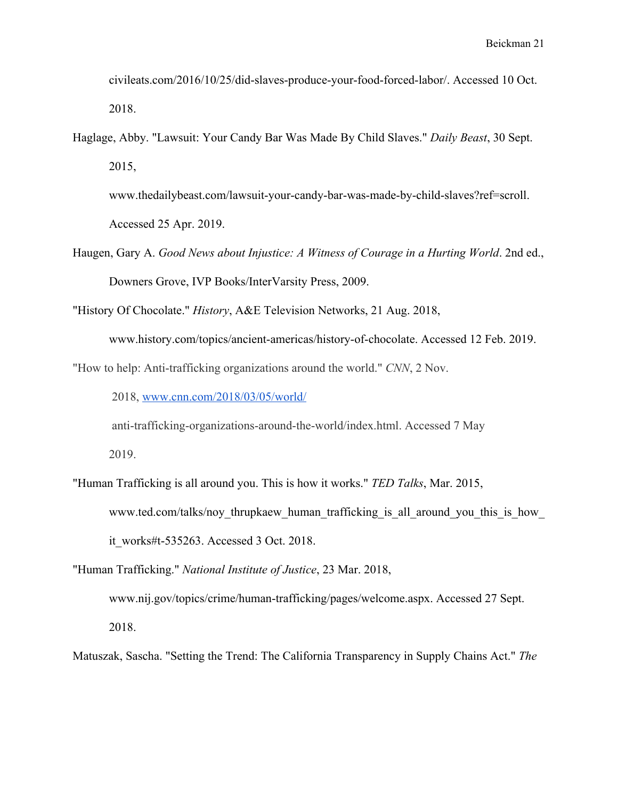civileats.com/2016/10/25/did-slaves-produce-your-food-forced-labor/. Accessed 10 Oct. 2018.

Haglage, Abby. "Lawsuit: Your Candy Bar Was Made By Child Slaves." *Daily Beast*, 30 Sept. 2015,

www.thedailybeast.com/lawsuit-your-candy-bar-was-made-by-child-slaves?ref=scroll. Accessed 25 Apr. 2019.

Haugen, Gary A. *Good News about Injustice: A Witness of Courage in a Hurting World*. 2nd ed., Downers Grove, IVP Books/InterVarsity Press, 2009.

"History Of Chocolate." *History*, A&E Television Networks, 21 Aug. 2018,

www.history.com/topics/ancient-americas/history-of-chocolate. Accessed 12 Feb. 2019.

"How to help: Anti-trafficking organizations around the world." *CNN*, 2 Nov.

2018, [www.cnn.com/2018/03/05/world/](http://www.cnn.com/2018/03/05/world/)

anti-trafficking-organizations-around-the-world/index.html. Accessed 7 May

2019.

"Human Trafficking is all around you. This is how it works." *TED Talks*, Mar. 2015, www.ted.com/talks/noy\_thrupkaew\_human\_trafficking\_is\_all\_around\_you\_this\_is\_how\_

it\_works#t-535263. Accessed 3 Oct. 2018.

"Human Trafficking." *National Institute of Justice*, 23 Mar. 2018,

www.nij.gov/topics/crime/human-trafficking/pages/welcome.aspx. Accessed 27 Sept. 2018.

Matuszak, Sascha. "Setting the Trend: The California Transparency in Supply Chains Act." *The*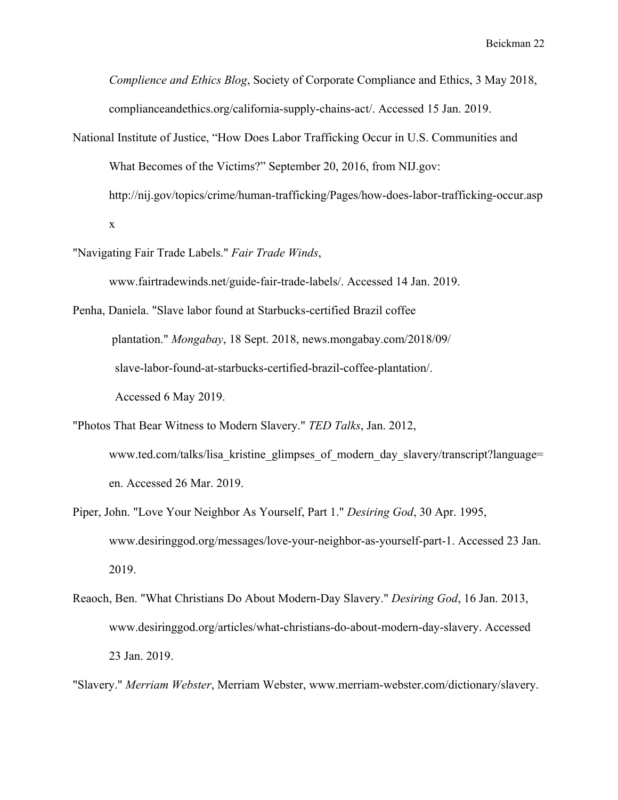*Complience and Ethics Blog*, Society of Corporate Compliance and Ethics, 3 May 2018, complianceandethics.org/california-supply-chains-act/. Accessed 15 Jan. 2019.

- National Institute of Justice, "How Does Labor Trafficking Occur in U.S. Communities and What Becomes of the Victims?" September 20, 2016, from NIJ.gov: http://nij.gov/topics/crime/human-trafficking/Pages/how-does-labor-trafficking-occur.asp x
- "Navigating Fair Trade Labels." *Fair Trade Winds*,

www.fairtradewinds.net/guide-fair-trade-labels/. Accessed 14 Jan. 2019.

Penha, Daniela. "Slave labor found at Starbucks-certified Brazil coffee plantation." *Mongabay*, 18 Sept. 2018, news.mongabay.com/2018/09/ slave-labor-found-at-starbucks-certified-brazil-coffee-plantation/. Accessed 6 May 2019.

- "Photos That Bear Witness to Modern Slavery." *TED Talks*, Jan. 2012, www.ted.com/talks/lisa kristine glimpses of modern day slavery/transcript?language= en. Accessed 26 Mar. 2019.
- Piper, John. "Love Your Neighbor As Yourself, Part 1." *Desiring God*, 30 Apr. 1995, www.desiringgod.org/messages/love-your-neighbor-as-yourself-part-1. Accessed 23 Jan. 2019.
- Reaoch, Ben. "What Christians Do About Modern-Day Slavery." *Desiring God*, 16 Jan. 2013, www.desiringgod.org/articles/what-christians-do-about-modern-day-slavery. Accessed 23 Jan. 2019.

"Slavery." *Merriam Webster*, Merriam Webster, www.merriam-webster.com/dictionary/slavery.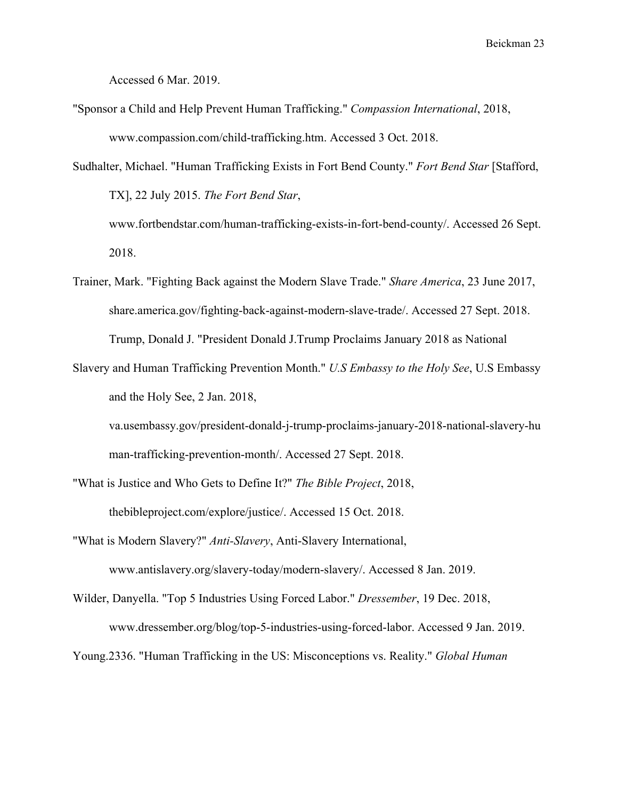Accessed 6 Mar. 2019.

- "Sponsor a Child and Help Prevent Human Trafficking." *Compassion International*, 2018, www.compassion.com/child-trafficking.htm. Accessed 3 Oct. 2018.
- Sudhalter, Michael. "Human Trafficking Exists in Fort Bend County." *Fort Bend Star* [Stafford, TX], 22 July 2015. *The Fort Bend Star*,
	- www.fortbendstar.com/human-trafficking-exists-in-fort-bend-county/. Accessed 26 Sept. 2018.
- Trainer, Mark. "Fighting Back against the Modern Slave Trade." *Share America*, 23 June 2017, share.america.gov/fighting-back-against-modern-slave-trade/. Accessed 27 Sept. 2018. Trump, Donald J. "President Donald J.Trump Proclaims January 2018 as National
- Slavery and Human Trafficking Prevention Month." *U.S Embassy to the Holy See*, U.S Embassy and the Holy See, 2 Jan. 2018,

va.usembassy.gov/president-donald-j-trump-proclaims-january-2018-national-slavery-hu man-trafficking-prevention-month/. Accessed 27 Sept. 2018.

"What is Justice and Who Gets to Define It?" *The Bible Project*, 2018, thebibleproject.com/explore/justice/. Accessed 15 Oct. 2018.

- "What is Modern Slavery?" *Anti-Slavery*, Anti-Slavery International, www.antislavery.org/slavery-today/modern-slavery/. Accessed 8 Jan. 2019.
- Wilder, Danyella. "Top 5 Industries Using Forced Labor." *Dressember*, 19 Dec. 2018, www.dressember.org/blog/top-5-industries-using-forced-labor. Accessed 9 Jan. 2019.

Young.2336. "Human Trafficking in the US: Misconceptions vs. Reality." *Global Human*